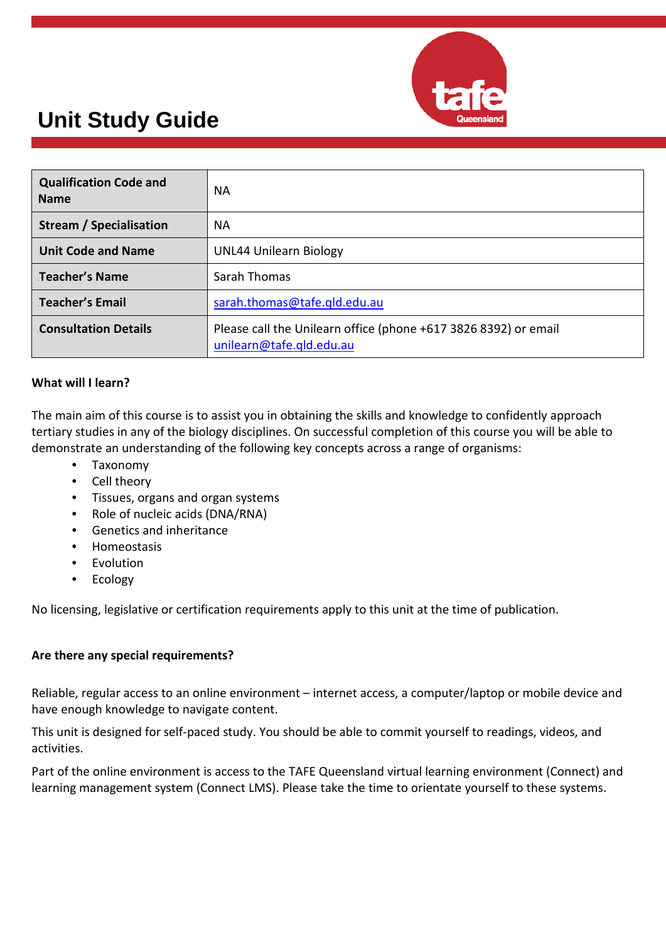

| <b>Qualification Code and</b><br><b>Name</b> | NА                                                                                          |  |
|----------------------------------------------|---------------------------------------------------------------------------------------------|--|
| Stream / Specialisation                      | NА                                                                                          |  |
| <b>Unit Code and Name</b>                    | <b>UNL44 Unilearn Biology</b>                                                               |  |
| Teacher's Name                               | Sarah Thomas                                                                                |  |
| Teacher's Email                              | sarah.thomas@tafe.gld.edu.au                                                                |  |
| <b>Consultation Details</b>                  | Please call the Unilearn office (phone +617 3826 8392) or email<br>unilearn@tafe.qld.edu.au |  |

#### **What will I learn?**

The main aim of this course is to assist you in obtaining the skills and knowledge to confidently approach tertiary studies in any of the biology disciplines. On successful completion of this course you will be able to demonstrate an understanding of the following key concepts across a range of organisms:

- Taxonomy
- Cell theory
- Tissues, organs and organ systems
- Role of nucleic acids (DNA/RNA)
- Genetics and inheritance
- Homeostasis
- **F**volution
- Ecology

No licensing, legislative or certification requirements apply to this unit at the time of publication.

#### **Are there any special requirements?**

Reliable, regular access to an online environment – internet access, a computer/laptop or mobile device and have enough knowledge to navigate content.

This unit is designed for self-paced study. You should be able to commit yourself to readings, videos, and activities.

Part of the online environment is access to the TAFE Queensland virtual learning environment (Connect) and learning management system (Connect LMS). Please take the time to orientate yourself to these systems.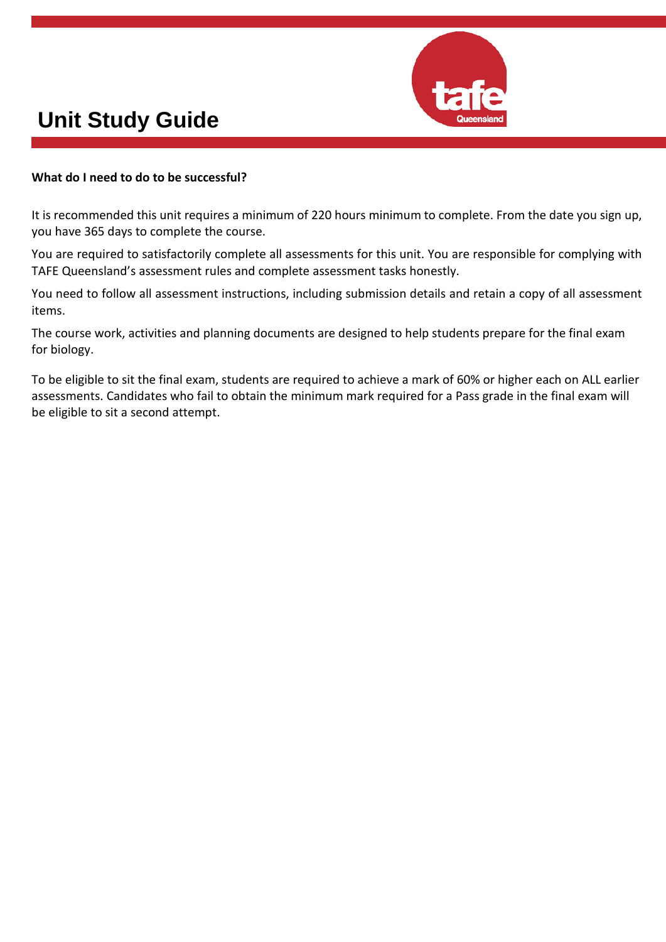

#### **What do I need to do to be successful?**

It is recommended this unit requires a minimum of 220 hours minimum to complete. From the date you sign up, you have 365 days to complete the course.

You are required to satisfactorily complete all assessments for this unit. You are responsible for complying with TAFE Queensland's assessment rules and complete assessment tasks honestly.

You need to follow all assessment instructions, including submission details and retain a copy of all assessment items.

The course work, activities and planning documents are designed to help students prepare for the final exam for biology.

To be eligible to sit the final exam, students are required to achieve a mark of 60% or higher each on ALL earlier assessments. Candidates who fail to obtain the minimum mark required for a Pass grade in the final exam will be eligible to sit a second attempt.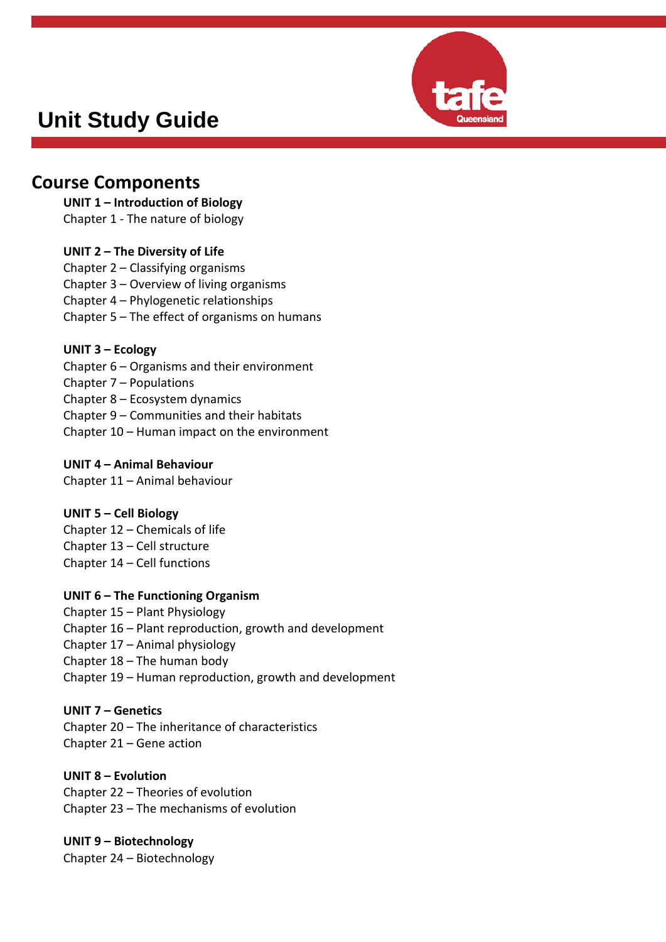

### **Course Components**

#### **UNIT 1 – Introduction of Biology**

Chapter 1 - The nature of biology

#### **UNIT 2 – The Diversity of Life**

Chapter 2 – Classifying organisms Chapter 3 – Overview of living organisms Chapter 4 – Phylogenetic relationships Chapter 5 – The effect of organisms on humans

#### **UNIT 3 – Ecology**

Chapter 6 – Organisms and their environment Chapter 7 – Populations Chapter 8 – Ecosystem dynamics Chapter 9 – Communities and their habitats Chapter 10 – Human impact on the environment

#### **UNIT 4 – Animal Behaviour**

Chapter 11 – Animal behaviour

#### **UNIT 5 – Cell Biology**

Chapter 12 – Chemicals of life Chapter 13 – Cell structure Chapter 14 – Cell functions

#### **UNIT 6 – The Functioning Organism**

Chapter 15 – Plant Physiology Chapter 16 – Plant reproduction, growth and development Chapter 17 – Animal physiology Chapter 18 – The human body Chapter 19 – Human reproduction, growth and development

#### **UNIT 7 – Genetics**

Chapter 20 – The inheritance of characteristics Chapter 21 – Gene action

#### **UNIT 8 – Evolution** Chapter 22 – Theories of evolution

Chapter 23 – The mechanisms of evolution

### **UNIT 9 – Biotechnology**

Chapter 24 – Biotechnology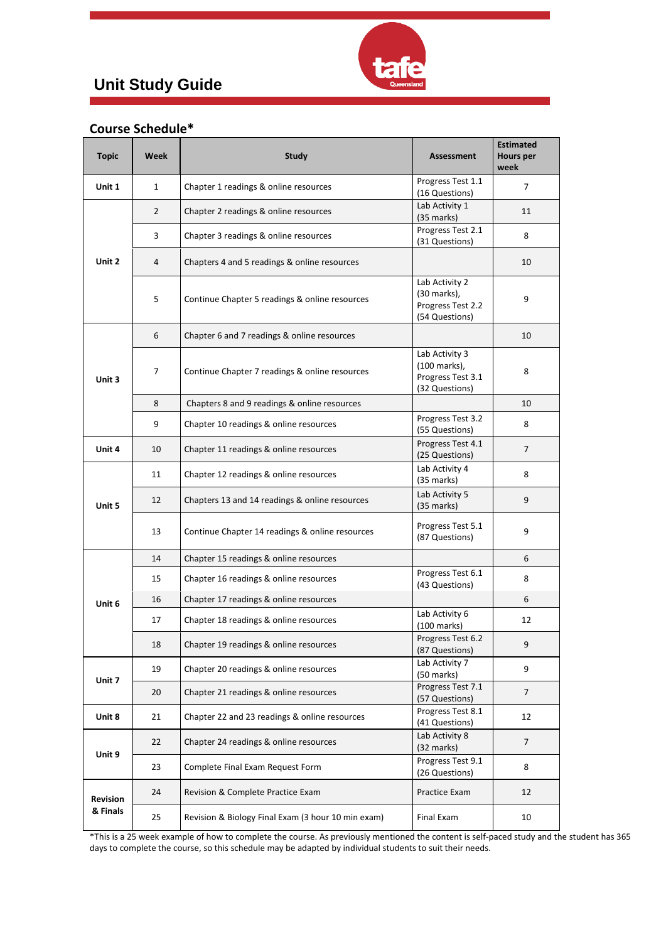

### **Course Schedule\***

| <b>Topic</b>                | <b>Week</b>    | <b>Study</b>                                       | <b>Assessment</b>                                                     | <b>Estimated</b><br><b>Hours per</b><br>week |
|-----------------------------|----------------|----------------------------------------------------|-----------------------------------------------------------------------|----------------------------------------------|
| Unit 1                      | $\mathbf{1}$   | Chapter 1 readings & online resources              | Progress Test 1.1<br>(16 Questions)                                   | 7                                            |
| Unit 2                      | $\overline{2}$ | Chapter 2 readings & online resources              | Lab Activity 1<br>$(35$ marks)                                        | 11                                           |
|                             | 3              | Chapter 3 readings & online resources              | Progress Test 2.1<br>(31 Questions)                                   | 8                                            |
|                             | $\overline{4}$ | Chapters 4 and 5 readings & online resources       |                                                                       | 10                                           |
|                             | 5              | Continue Chapter 5 readings & online resources     | Lab Activity 2<br>(30 marks),<br>Progress Test 2.2<br>(54 Questions)  | 9                                            |
| Unit 3                      | 6              | Chapter 6 and 7 readings & online resources        |                                                                       | 10                                           |
|                             | 7              | Continue Chapter 7 readings & online resources     | Lab Activity 3<br>(100 marks),<br>Progress Test 3.1<br>(32 Questions) | 8                                            |
|                             | 8              | Chapters 8 and 9 readings & online resources       |                                                                       | 10                                           |
|                             | 9              | Chapter 10 readings & online resources             | Progress Test 3.2<br>(55 Questions)                                   | 8                                            |
| Unit 4                      | 10             | Chapter 11 readings & online resources             | Progress Test 4.1<br>(25 Questions)                                   | 7                                            |
| Unit 5                      | 11             | Chapter 12 readings & online resources             | Lab Activity 4<br>$(35$ marks)                                        | 8                                            |
|                             | 12             | Chapters 13 and 14 readings & online resources     | Lab Activity 5<br>$(35 \text{ marks})$                                | 9                                            |
|                             | 13             | Continue Chapter 14 readings & online resources    | Progress Test 5.1<br>(87 Questions)                                   | 9                                            |
|                             | 14             | Chapter 15 readings & online resources             |                                                                       | 6                                            |
| Unit 6                      | 15             | Chapter 16 readings & online resources             | Progress Test 6.1<br>(43 Questions)                                   | 8                                            |
|                             | 16             | Chapter 17 readings & online resources             |                                                                       | 6                                            |
|                             | 17             | Chapter 18 readings & online resources             | Lab Activity 6<br>$(100 \text{ marks})$                               | 12                                           |
|                             | 18             | Chapter 19 readings & online resources             | Progress Test 6.2<br>(87 Questions)                                   | 9                                            |
| Unit 7                      | 19             | Chapter 20 readings & online resources             | Lab Activity 7<br>(50 marks)                                          | 9                                            |
|                             | 20             | Chapter 21 readings & online resources             | Progress Test 7.1<br>(57 Questions)                                   | 7                                            |
| Unit 8                      | 21             | Chapter 22 and 23 readings & online resources      | Progress Test 8.1<br>(41 Questions)                                   | 12                                           |
| Unit 9                      | 22             | Chapter 24 readings & online resources             | Lab Activity 8<br>$(32 \text{ marks})$                                | $\overline{7}$                               |
|                             | 23             | Complete Final Exam Request Form                   | Progress Test 9.1<br>(26 Questions)                                   | 8                                            |
| <b>Revision</b><br>& Finals | 24             | Revision & Complete Practice Exam                  | Practice Exam                                                         | 12                                           |
|                             | 25             | Revision & Biology Final Exam (3 hour 10 min exam) | <b>Final Exam</b>                                                     | 10                                           |

\*This is a 25 week example of how to complete the course. As previously mentioned the content is self-paced study and the student has 365 days to complete the course, so this schedule may be adapted by individual students to suit their needs.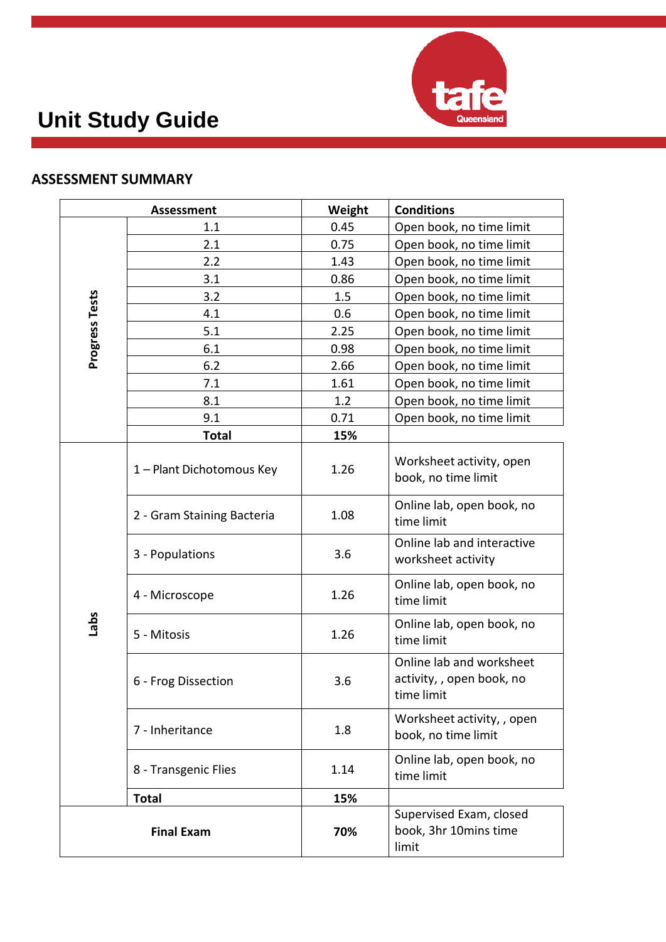

### **ASSESSMENT SUMMARY**

| <b>Assessment</b> |                            | Weight | <b>Conditions</b>                                                   |  |
|-------------------|----------------------------|--------|---------------------------------------------------------------------|--|
| Progress Tests    | 1.1                        | 0.45   | Open book, no time limit                                            |  |
|                   | 2.1                        | 0.75   | Open book, no time limit                                            |  |
|                   | 2.2                        | 1.43   | Open book, no time limit                                            |  |
|                   | 3.1                        | 0.86   | Open book, no time limit                                            |  |
|                   | 3.2                        | 1.5    | Open book, no time limit                                            |  |
|                   | 4.1                        | 0.6    | Open book, no time limit                                            |  |
|                   | 5.1                        | 2.25   | Open book, no time limit                                            |  |
|                   | 6.1                        | 0.98   | Open book, no time limit                                            |  |
|                   | 6.2                        | 2.66   | Open book, no time limit                                            |  |
|                   | 7.1                        | 1.61   | Open book, no time limit                                            |  |
|                   | 8.1                        | 1.2    | Open book, no time limit                                            |  |
|                   | 9.1                        | 0.71   | Open book, no time limit                                            |  |
|                   | <b>Total</b>               | 15%    |                                                                     |  |
| <b>Sqle1</b>      | 1 - Plant Dichotomous Key  | 1.26   | Worksheet activity, open<br>book, no time limit                     |  |
|                   | 2 - Gram Staining Bacteria | 1.08   | Online lab, open book, no<br>time limit                             |  |
|                   | 3 - Populations            | 3.6    | Online lab and interactive<br>worksheet activity                    |  |
|                   | 4 - Microscope             | 1.26   | Online lab, open book, no<br>time limit                             |  |
|                   | 5 - Mitosis                | 1.26   | Online lab, open book, no<br>time limit                             |  |
|                   | 6 - Frog Dissection        | 3.6    | Online lab and worksheet<br>activity, , open book, no<br>time limit |  |
|                   | 7 - Inheritance            | 1.8    | Worksheet activity, , open<br>book, no time limit                   |  |
|                   | 8 - Transgenic Flies       | 1.14   | Online lab, open book, no<br>time limit                             |  |
|                   | <b>Total</b>               | 15%    |                                                                     |  |
| <b>Final Exam</b> |                            | 70%    | Supervised Exam, closed<br>book, 3hr 10mins time<br>limit           |  |